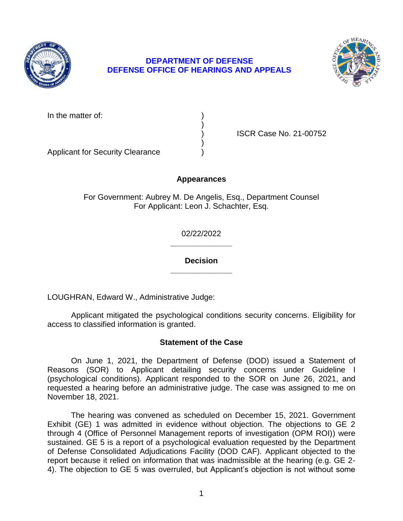

# **DEPARTMENT OF DEFENSE DEFENSE OFFICE OF HEARINGS AND APPEALS**



In the matter of:

) ISCR Case No. 21-00752

Applicant for Security Clearance )

# **Appearances**

)

)

For Government: Aubrey M. De Angelis, Esq., Department Counsel For Applicant: Leon J. Schachter, Esq.

> **\_\_\_\_\_\_\_\_\_\_\_\_\_\_**  02/22/2022

> **\_\_\_\_\_\_\_\_\_\_\_\_\_\_ Decision**

LOUGHRAN, Edward W., Administrative Judge:

 Applicant mitigated the psychological conditions security concerns. Eligibility for access to classified information is granted.

# **Statement of the Case**

 On June 1, 2021, the Department of Defense (DOD) issued a Statement of (psychological conditions). Applicant responded to the SOR on June 26, 2021, and requested a hearing before an administrative judge. The case was assigned to me on Reasons (SOR) to Applicant detailing security concerns under Guideline I November 18, 2021.

The hearing was convened as scheduled on December 15, 2021. Government Exhibit (GE) 1 was admitted in evidence without objection. The objections to GE 2 through 4 (Office of Personnel Management reports of investigation (OPM ROI)) were sustained. GE 5 is a report of a psychological evaluation requested by the Department of Defense Consolidated Adjudications Facility (DOD CAF). Applicant objected to the report because it relied on information that was inadmissible at the hearing (e.g. GE 2- 4). The objection to GE 5 was overruled, but Applicant's objection is not without some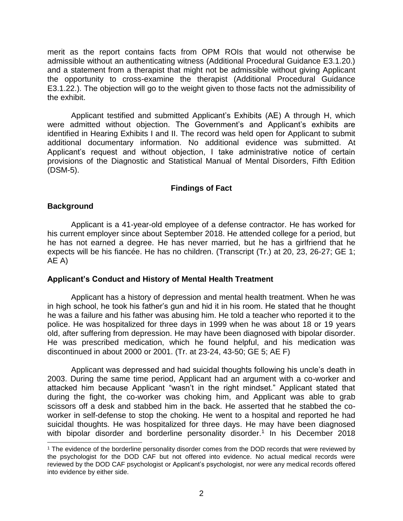merit as the report contains facts from OPM ROIs that would not otherwise be admissible without an authenticating witness (Additional Procedural Guidance E3.1.20.) and a statement from a therapist that might not be admissible without giving Applicant the opportunity to cross-examine the therapist (Additional Procedural Guidance E3.1.22.). The objection will go to the weight given to those facts not the admissibility of the exhibit.

 Applicant testified and submitted Applicant's Exhibits (AE) A through H, which identified in Hearing Exhibits I and II. The record was held open for Applicant to submit Applicant's request and without objection, I take administrative notice of certain provisions of the Diagnostic and Statistical Manual of Mental Disorders, Fifth Edition were admitted without objection. The Government's and Applicant's exhibits are additional documentary information. No additional evidence was submitted. At (DSM-5).

# **Findings of Fact**

# **Background**

 Applicant is a 41-year-old employee of a defense contractor. He has worked for he has not earned a degree. He has never married, but he has a girlfriend that he expects will be his fiancée. He has no children. (Transcript (Tr.) at 20, 23, 26-27; GE 1; his current employer since about September 2018. He attended college for a period, but AE A)

# **Applicant's Conduct and History of Mental Health Treatment**

 Applicant has a history of depression and mental health treatment. When he was in high school, he took his father's gun and hid it in his room. He stated that he thought police. He was hospitalized for three days in 1999 when he was about 18 or 19 years old, after suffering from depression. He may have been diagnosed with bipolar disorder. He was prescribed medication, which he found helpful, and his medication was he was a failure and his father was abusing him. He told a teacher who reported it to the discontinued in about 2000 or 2001. (Tr. at 23-24, 43-50; GE 5; AE F)

with bipolar disorder and borderline personality disorder.<sup>1</sup> In his December 2018 Applicant was depressed and had suicidal thoughts following his uncle's death in 2003. During the same time period, Applicant had an argument with a co-worker and attacked him because Applicant "wasn't in the right mindset." Applicant stated that during the fight, the co-worker was choking him, and Applicant was able to grab scissors off a desk and stabbed him in the back. He asserted that he stabbed the coworker in self-defense to stop the choking. He went to a hospital and reported he had suicidal thoughts. He was hospitalized for three days. He may have been diagnosed

<sup>&</sup>lt;sup>1</sup> The evidence of the borderline personality disorder comes from the DOD records that were reviewed by the psychologist for the DOD CAF but not offered into evidence. No actual medical records were reviewed by the DOD CAF psychologist or Applicant's psychologist, nor were any medical records offered into evidence by either side.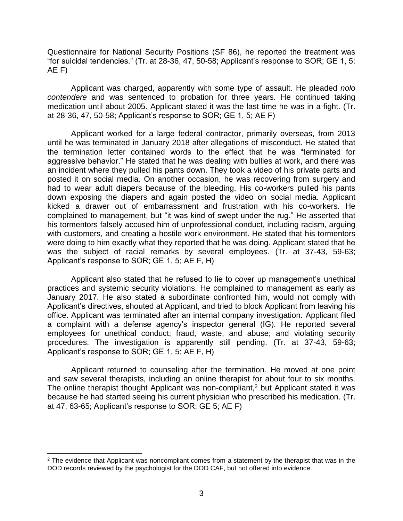Questionnaire for National Security Positions (SF 86), he reported the treatment was "for suicidal tendencies." (Tr. at 28-36, 47, 50-58; Applicant's response to SOR; GE 1, 5; AE F)

 Applicant was charged, apparently with some type of assault. He pleaded *nolo contendere* and was sentenced to probation for three years. He continued taking medication until about 2005. Applicant stated it was the last time he was in a fight. (Tr. at 28-36, 47, 50-58; Applicant's response to SOR; GE 1, 5; AE F)

 Applicant worked for a large federal contractor, primarily overseas, from 2013 until he was terminated in January 2018 after allegations of misconduct. He stated that the termination letter contained words to the effect that he was "terminated for aggressive behavior." He stated that he was dealing with bullies at work, and there was an incident where they pulled his pants down. They took a video of his private parts and posted it on social media. On another occasion, he was recovering from surgery and had to wear adult diapers because of the bleeding. His co-workers pulled his pants down exposing the diapers and again posted the video on social media. Applicant kicked a drawer out of embarrassment and frustration with his co-workers. He complained to management, but "it was kind of swept under the rug." He asserted that his tormentors falsely accused him of unprofessional conduct, including racism, arguing with customers, and creating a hostile work environment. He stated that his tormentors were doing to him exactly what they reported that he was doing. Applicant stated that he was the subject of racial remarks by several employees. (Tr. at 37-43, 59-63; Applicant's response to SOR; GE 1, 5; AE F, H)

 Applicant also stated that he refused to lie to cover up management's unethical practices and systemic security violations. He complained to management as early as January 2017. He also stated a subordinate confronted him, would not comply with Applicant's directives, shouted at Applicant, and tried to block Applicant from leaving his office. Applicant was terminated after an internal company investigation. Applicant filed a complaint with a defense agency's inspector general (IG). He reported several procedures. The investigation is apparently still pending. (Tr. at 37-43, 59-63; employees for unethical conduct; fraud, waste, and abuse; and violating security Applicant's response to SOR; GE 1, 5; AE F, H)

 Applicant returned to counseling after the termination. He moved at one point and saw several therapists, including an online therapist for about four to six months. because he had started seeing his current physician who prescribed his medication. (Tr. The online therapist thought Applicant was non-compliant,<sup>2</sup> but Applicant stated it was at 47, 63-65; Applicant's response to SOR; GE 5; AE F)

 $\overline{a}$ 

 $2$  The evidence that Applicant was noncompliant comes from a statement by the therapist that was in the DOD records reviewed by the psychologist for the DOD CAF, but not offered into evidence.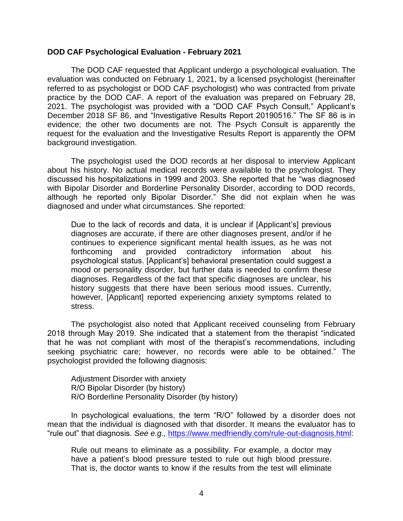### **DOD CAF Psychological Evaluation - February 2021**

 The DOD CAF requested that Applicant undergo a psychological evaluation. The evaluation was conducted on February 1, 2021, by a licensed psychologist (hereinafter referred to as psychologist or DOD CAF psychologist) who was contracted from private practice by the DOD CAF. A report of the evaluation was prepared on February 28, 2021. The psychologist was provided with a "DOD CAF Psych Consult," Applicant's December 2018 SF 86, and "Investigative Results Report 20190516." The SF 86 is in evidence; the other two documents are not. The Psych Consult is apparently the request for the evaluation and the Investigative Results Report is apparently the OPM background investigation.

The psychologist used the DOD records at her disposal to interview Applicant about his history. No actual medical records were available to the psychologist. They discussed his hospitalizations in 1999 and 2003. She reported that he "was diagnosed with Bipolar Disorder and Borderline Personality Disorder, according to DOD records, although he reported only Bipolar Disorder." She did not explain when he was diagnosed and under what circumstances. She reported:

Due to the lack of records and data, it is unclear if [Applicant's] previous diagnoses are accurate, if there are other diagnoses present, and/or if he continues to experience significant mental health issues, as he was not forthcoming and provided contradictory information about his psychological status. [Applicant's] behavioral presentation could suggest a mood or personality disorder, but further data is needed to confirm these diagnoses. Regardless of the fact that specific diagnoses are unclear, his history suggests that there have been serious mood issues. Currently, however, [Applicant] reported experiencing anxiety symptoms related to stress.

The psychologist also noted that Applicant received counseling from February 2018 through May 2019. She indicated that a statement from the therapist "indicated that he was not compliant with most of the therapist's recommendations, including seeking psychiatric care; however, no records were able to be obtained." The psychologist provided the following diagnosis:

Adjustment Disorder with anxiety R/O Bipolar Disorder (by history) R/O Borderline Personality Disorder (by history)

 In psychological evaluations, the term "R/O" followed by a disorder does not mean that the individual is diagnosed with that disorder. It means the evaluator has to "rule out" that diagnosis. *See e.g.,* [https://www.medfriendly.com/rule-out-diagnosis.html:](https://www.medfriendly.com/rule-out-diagnosis.html)

Rule out means to eliminate as a possibility. For example, a doctor may have a patient's blood pressure tested to rule out high blood pressure. That is, the doctor wants to know if the results from the test will eliminate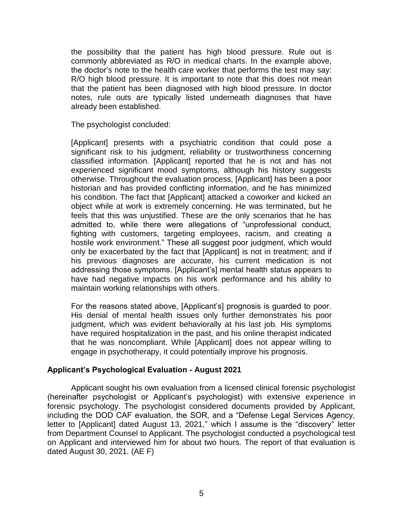the possibility that the patient has high blood pressure. Rule out is commonly abbreviated as R/O in medical charts. In the example above, the doctor's note to the health care worker that performs the test may say: R/O high blood pressure. It is important to note that this does not mean that the patient has been diagnosed with high blood pressure. In doctor notes, rule outs are typically listed underneath diagnoses that have already been established.

The psychologist concluded:

[Applicant] presents with a psychiatric condition that could pose a significant risk to his judgment, reliability or trustworthiness concerning classified information. [Applicant] reported that he is not and has not experienced significant mood symptoms, although his history suggests otherwise. Throughout the evaluation process, [Applicant] has been a poor historian and has provided conflicting information, and he has minimized his condition. The fact that [Applicant] attacked a coworker and kicked an object while at work is extremely concerning. He was terminated, but he feels that this was unjustified. These are the only scenarios that he has admitted to, while there were allegations of "unprofessional conduct, fighting with customers, targeting employees, racism, and creating a hostile work environment." These all suggest poor judgment, which would only be exacerbated by the fact that [Applicant] is not in treatment; and if his previous diagnoses are accurate, his current medication is not addressing those symptoms. [Applicant's] mental health status appears to have had negative impacts on his work performance and his ability to maintain working relationships with others.

For the reasons stated above, [Applicant's] prognosis is guarded to poor. His denial of mental health issues only further demonstrates his poor judgment, which was evident behaviorally at his last job. His symptoms have required hospitalization in the past, and his online therapist indicated that he was noncompliant. While [Applicant] does not appear willing to engage in psychotherapy, it could potentially improve his prognosis.

# **Applicant's Psychological Evaluation - August 2021**

 Applicant sought his own evaluation from a licensed clinical forensic psychologist (hereinafter psychologist or Applicant's psychologist) with extensive experience in forensic psychology. The psychologist considered documents provided by Applicant, including the DOD CAF evaluation, the SOR, and a "Defense Legal Services Agency, letter to [Applicant] dated August 13, 2021," which I assume is the "discovery" letter on Applicant and interviewed him for about two hours. The report of that evaluation is from Department Counsel to Applicant. The psychologist conducted a psychological test dated August 30, 2021. (AE F)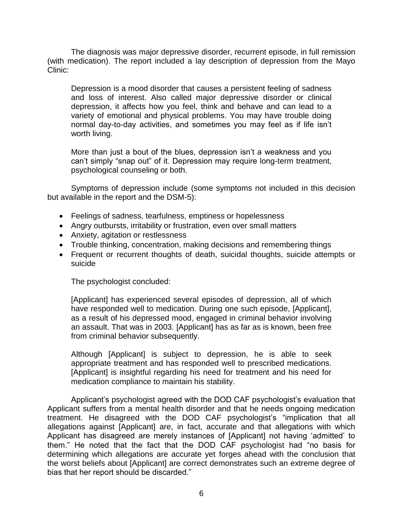The diagnosis was major depressive disorder, recurrent episode, in full remission (with medication). The report included a lay description of depression from the Mayo Clinic:

Depression is a mood disorder that causes a persistent feeling of sadness and loss of interest. Also called major depressive disorder or clinical depression, it affects how you feel, think and behave and can lead to a variety of emotional and physical problems. You may have trouble doing normal day-to-day activities, and sometimes you may feel as if life isn't worth living.

More than just a bout of the blues, depression isn't a weakness and you can't simply "snap out" of it. Depression may require long-term treatment, psychological counseling or both.

 Symptoms of depression include (some symptoms not included in this decision but available in the report and the DSM-5):

- Feelings of sadness, tearfulness, emptiness or hopelessness
- Angry outbursts, irritability or frustration, even over small matters
- Anxiety, agitation or restlessness
- Trouble thinking, concentration, making decisions and remembering things
- Frequent or recurrent thoughts of death, suicidal thoughts, suicide attempts or suicide

The psychologist concluded:

[Applicant] has experienced several episodes of depression, all of which have responded well to medication. During one such episode, [Applicant], as a result of his depressed mood, engaged in criminal behavior involving an assault. That was in 2003. [Applicant] has as far as is known, been free from criminal behavior subsequently.

Although [Applicant] is subject to depression, he is able to seek appropriate treatment and has responded well to prescribed medications. [Applicant] is insightful regarding his need for treatment and his need for medication compliance to maintain his stability.

Applicant's psychologist agreed with the DOD CAF psychologist's evaluation that Applicant suffers from a mental health disorder and that he needs ongoing medication treatment. He disagreed with the DOD CAF psychologist's "implication that all allegations against [Applicant] are, in fact, accurate and that allegations with which Applicant has disagreed are merely instances of [Applicant] not having 'admitted' to them." He noted that the fact that the DOD CAF psychologist had "no basis for determining which allegations are accurate yet forges ahead with the conclusion that the worst beliefs about [Applicant] are correct demonstrates such an extreme degree of bias that her report should be discarded."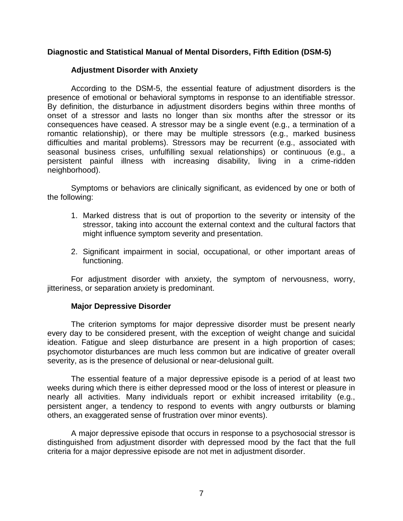# **Diagnostic and Statistical Manual of Mental Disorders, Fifth Edition (DSM-5)**

# **Adjustment Disorder with Anxiety**

 According to the DSM-5, the essential feature of adjustment disorders is the presence of emotional or behavioral symptoms in response to an identifiable stressor. By definition, the disturbance in adjustment disorders begins within three months of onset of a stressor and lasts no longer than six months after the stressor or its consequences have ceased. A stressor may be a single event (e.g., a termination of a romantic relationship), or there may be multiple stressors (e.g., marked business difficulties and marital problems). Stressors may be recurrent (e.g., associated with seasonal business crises, unfulfilling sexual relationships) or continuous (e.g., a persistent painful illness with increasing disability, living in a crime-ridden neighborhood).

 Symptoms or behaviors are clinically significant, as evidenced by one or both of the following:

- 1. Marked distress that is out of proportion to the severity or intensity of the stressor, taking into account the external context and the cultural factors that might influence symptom severity and presentation.
- 2. Significant impairment in social, occupational, or other important areas of functioning.

 For adjustment disorder with anxiety, the symptom of nervousness, worry, jitteriness, or separation anxiety is predominant.

### **Major Depressive Disorder**

 The criterion symptoms for major depressive disorder must be present nearly every day to be considered present, with the exception of weight change and suicidal ideation. Fatigue and sleep disturbance are present in a high proportion of cases; psychomotor disturbances are much less common but are indicative of greater overall severity, as is the presence of delusional or near-delusional guilt.

 The essential feature of a major depressive episode is a period of at least two weeks during which there is either depressed mood or the loss of interest or pleasure in nearly all activities. Many individuals report or exhibit increased irritability (e.g., persistent anger, a tendency to respond to events with angry outbursts or blaming others, an exaggerated sense of frustration over minor events).

 A major depressive episode that occurs in response to a psychosocial stressor is distinguished from adjustment disorder with depressed mood by the fact that the full criteria for a major depressive episode are not met in adjustment disorder.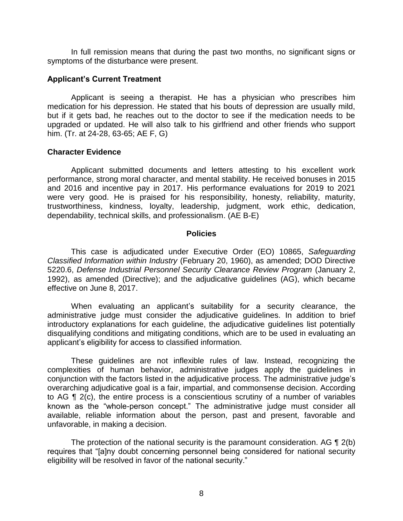In full remission means that during the past two months, no significant signs or symptoms of the disturbance were present.

### **Applicant's Current Treatment**

 Applicant is seeing a therapist. He has a physician who prescribes him medication for his depression. He stated that his bouts of depression are usually mild, but if it gets bad, he reaches out to the doctor to see if the medication needs to be upgraded or updated. He will also talk to his girlfriend and other friends who support him. (Tr. at 24-28, 63-65; AE F, G)

#### **Character Evidence**

 Applicant submitted documents and letters attesting to his excellent work performance, strong moral character, and mental stability. He received bonuses in 2015 and 2016 and incentive pay in 2017. His performance evaluations for 2019 to 2021 were very good. He is praised for his responsibility, honesty, reliability, maturity, trustworthiness, kindness, loyalty, leadership, judgment, work ethic, dedication, dependability, technical skills, and professionalism. (AE B-E)

#### **Policies**

 *Classified Information within Industry* (February 20, 1960), as amended; DOD Directive 5220.6, *Defense Industrial Personnel Security Clearance Review Program* (January 2, 1992), as amended (Directive); and the adjudicative guidelines (AG), which became This case is adjudicated under Executive Order (EO) 10865, *Safeguarding*  effective on June 8, 2017.

 When evaluating an applicant's suitability for a security clearance, the administrative judge must consider the adjudicative guidelines. In addition to brief introductory explanations for each guideline, the adjudicative guidelines list potentially disqualifying conditions and mitigating conditions, which are to be used in evaluating an applicant's eligibility for access to classified information.

 These guidelines are not inflexible rules of law. Instead, recognizing the complexities of human behavior, administrative judges apply the guidelines in conjunction with the factors listed in the adjudicative process. The administrative judge's overarching adjudicative goal is a fair, impartial, and commonsense decision. According to AG ¶ 2(c), the entire process is a conscientious scrutiny of a number of variables known as the "whole-person concept." The administrative judge must consider all available, reliable information about the person, past and present, favorable and unfavorable, in making a decision.

The protection of the national security is the paramount consideration. AG  $\P$  2(b) eligibility will be resolved in favor of the national security." requires that "[a]ny doubt concerning personnel being considered for national security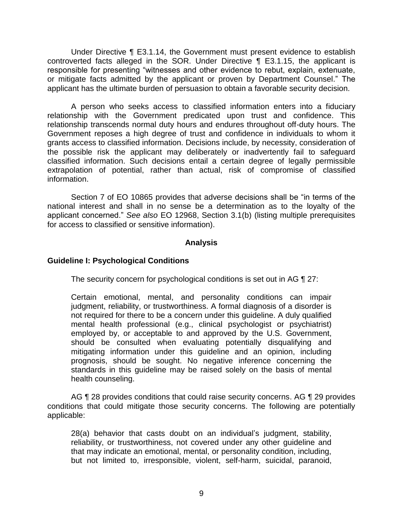Under Directive ¶ E3.1.14, the Government must present evidence to establish controverted facts alleged in the SOR. Under Directive ¶ E3.1.15, the applicant is responsible for presenting "witnesses and other evidence to rebut, explain, extenuate, or mitigate facts admitted by the applicant or proven by Department Counsel." The applicant has the ultimate burden of persuasion to obtain a favorable security decision.

 A person who seeks access to classified information enters into a fiduciary relationship with the Government predicated upon trust and confidence. This relationship transcends normal duty hours and endures throughout off-duty hours. The Government reposes a high degree of trust and confidence in individuals to whom it grants access to classified information. Decisions include, by necessity, consideration of the possible risk the applicant may deliberately or inadvertently fail to safeguard classified information. Such decisions entail a certain degree of legally permissible extrapolation of potential, rather than actual, risk of compromise of classified information.

 Section 7 of EO 10865 provides that adverse decisions shall be "in terms of the national interest and shall in no sense be a determination as to the loyalty of the applicant concerned." *See also* EO 12968, Section 3.1(b) (listing multiple prerequisites for access to classified or sensitive information).

## **Analysis**

## **Guideline I: Psychological Conditions**

The security concern for psychological conditions is set out in AG ¶ 27:

 Certain emotional, mental, and personality conditions can impair judgment, reliability, or trustworthiness. A formal diagnosis of a disorder is not required for there to be a concern under this guideline. A duly qualified employed by, or acceptable to and approved by the U.S. Government, should be consulted when evaluating potentially disqualifying and mitigating information under this guideline and an opinion, including prognosis, should be sought. No negative inference concerning the standards in this guideline may be raised solely on the basis of mental mental health professional (e.g., clinical psychologist or psychiatrist) health counseling.

AG ¶ 28 provides conditions that could raise security concerns. AG ¶ 29 provides conditions that could mitigate those security concerns. The following are potentially applicable:

 28(a) behavior that casts doubt on an individual's judgment, stability, reliability, or trustworthiness, not covered under any other guideline and that may indicate an emotional, mental, or personality condition, including, but not limited to, irresponsible, violent, self-harm, suicidal, paranoid,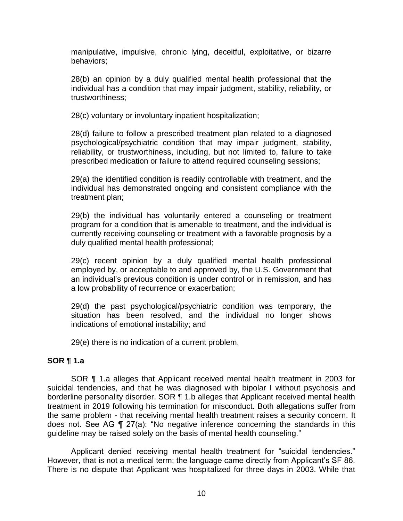manipulative, impulsive, chronic lying, deceitful, exploitative, or bizarre behaviors;

 28(b) an opinion by a duly qualified mental health professional that the individual has a condition that may impair judgment, stability, reliability, or trustworthiness;

28(c) voluntary or involuntary inpatient hospitalization;

 28(d) failure to follow a prescribed treatment plan related to a diagnosed psychological/psychiatric condition that may impair judgment, stability, reliability, or trustworthiness, including, but not limited to, failure to take prescribed medication or failure to attend required counseling sessions;

 29(a) the identified condition is readily controllable with treatment, and the individual has demonstrated ongoing and consistent compliance with the treatment plan;

 29(b) the individual has voluntarily entered a counseling or treatment program for a condition that is amenable to treatment, and the individual is currently receiving counseling or treatment with a favorable prognosis by a duly qualified mental health professional;

 29(c) recent opinion by a duly qualified mental health professional an individual's previous condition is under control or in remission, and has employed by, or acceptable to and approved by, the U.S. Government that a low probability of recurrence or exacerbation;

 29(d) the past psychological/psychiatric condition was temporary, the situation has been resolved, and the individual no longer shows indications of emotional instability; and

29(e) there is no indication of a current problem.

# **SOR ¶ 1.a**

 SOR ¶ 1.a alleges that Applicant received mental health treatment in 2003 for suicidal tendencies, and that he was diagnosed with bipolar I without psychosis and borderline personality disorder. SOR ¶ 1.b alleges that Applicant received mental health treatment in 2019 following his termination for misconduct. Both allegations suffer from the same problem - that receiving mental health treatment raises a security concern. It does not. See AG ¶ 27(a): "No negative inference concerning the standards in this guideline may be raised solely on the basis of mental health counseling."

 Applicant denied receiving mental health treatment for "suicidal tendencies." However, that is not a medical term; the language came directly from Applicant's SF 86. There is no dispute that Applicant was hospitalized for three days in 2003. While that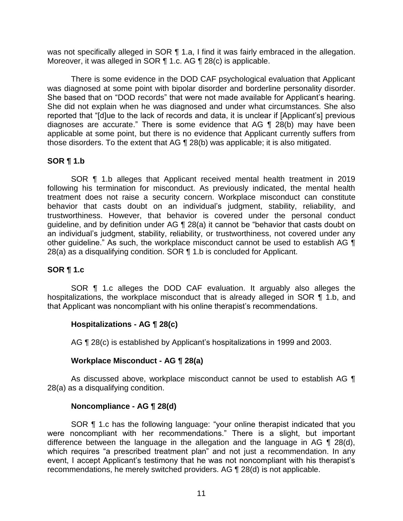was not specifically alleged in SOR 1 1.a, I find it was fairly embraced in the allegation. Moreover, it was alleged in SOR ¶ 1.c. AG ¶ 28(c) is applicable.

 There is some evidence in the DOD CAF psychological evaluation that Applicant was diagnosed at some point with bipolar disorder and borderline personality disorder. She based that on "DOD records" that were not made available for Applicant's hearing. She did not explain when he was diagnosed and under what circumstances. She also reported that "[d]ue to the lack of records and data, it is unclear if [Applicant's] previous diagnoses are accurate." There is some evidence that AG ¶ 28(b) may have been applicable at some point, but there is no evidence that Applicant currently suffers from those disorders. To the extent that AG ¶ 28(b) was applicable; it is also mitigated.

# **SOR ¶ 1.b**

 SOR ¶ 1.b alleges that Applicant received mental health treatment in 2019 treatment does not raise a security concern. Workplace misconduct can constitute guideline, and by definition under AG ¶ 28(a) it cannot be "behavior that casts doubt on an individual's judgment, stability, reliability, or trustworthiness, not covered under any other guideline." As such, the workplace misconduct cannot be used to establish AG  $\P$ following his termination for misconduct. As previously indicated, the mental health behavior that casts doubt on an individual's judgment, stability, reliability, and trustworthiness. However, that behavior is covered under the personal conduct 28(a) as a disqualifying condition. SOR ¶ 1.b is concluded for Applicant.

# **SOR ¶ 1.c**

hospitalizations, the workplace misconduct that is already alleged in SOR 11.b, and SOR ¶ 1.c alleges the DOD CAF evaluation. It arguably also alleges the that Applicant was noncompliant with his online therapist's recommendations.

# **Hospitalizations - AG ¶ 28(c)**

AG ¶ 28(c) is established by Applicant's hospitalizations in 1999 and 2003.

# **Workplace Misconduct - AG ¶ 28(a)**

As discussed above, workplace misconduct cannot be used to establish AG  $\P$ 28(a) as a disqualifying condition.

# **Noncompliance - AG ¶ 28(d)**

SOR **[1** 1.c has the following language: "your online therapist indicated that you were noncompliant with her recommendations." There is a slight, but important difference between the language in the allegation and the language in AG ¶ 28(d), which requires "a prescribed treatment plan" and not just a recommendation. In any event, I accept Applicant's testimony that he was not noncompliant with his therapist's recommendations, he merely switched providers. AG ¶ 28(d) is not applicable.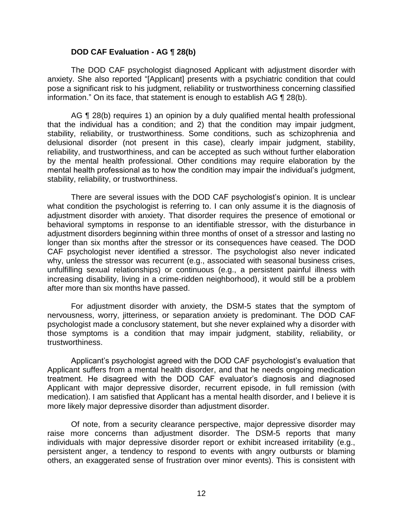### **DOD CAF Evaluation - AG ¶ 28(b)**

 anxiety. She also reported "[Applicant] presents with a psychiatric condition that could pose a significant risk to his judgment, reliability or trustworthiness concerning classified The DOD CAF psychologist diagnosed Applicant with adjustment disorder with information." On its face, that statement is enough to establish AG ¶ 28(b).

 AG ¶ 28(b) requires 1) an opinion by a duly qualified mental health professional that the individual has a condition; and 2) that the condition may impair judgment, stability, reliability, or trustworthiness. Some conditions, such as schizophrenia and delusional disorder (not present in this case), clearly impair judgment, stability, reliability, and trustworthiness, and can be accepted as such without further elaboration by the mental health professional. Other conditions may require elaboration by the mental health professional as to how the condition may impair the individual's judgment, stability, reliability, or trustworthiness.

 There are several issues with the DOD CAF psychologist's opinion. It is unclear what condition the psychologist is referring to. I can only assume it is the diagnosis of adjustment disorder with anxiety. That disorder requires the presence of emotional or behavioral symptoms in response to an identifiable stressor, with the disturbance in longer than six months after the stressor or its consequences have ceased. The DOD CAF psychologist never identified a stressor. The psychologist also never indicated why, unless the stressor was recurrent (e.g., associated with seasonal business crises, unfulfilling sexual relationships) or continuous (e.g., a persistent painful illness with increasing disability, living in a crime-ridden neighborhood), it would still be a problem adjustment disorders beginning within three months of onset of a stressor and lasting no after more than six months have passed.

 For adjustment disorder with anxiety, the DSM-5 states that the symptom of nervousness, worry, jitteriness, or separation anxiety is predominant. The DOD CAF psychologist made a conclusory statement, but she never explained why a disorder with those symptoms is a condition that may impair judgment, stability, reliability, or trustworthiness.

Applicant's psychologist agreed with the DOD CAF psychologist's evaluation that Applicant suffers from a mental health disorder, and that he needs ongoing medication treatment. He disagreed with the DOD CAF evaluator's diagnosis and diagnosed Applicant with major depressive disorder, recurrent episode, in full remission (with medication). I am satisfied that Applicant has a mental health disorder, and I believe it is more likely major depressive disorder than adjustment disorder.

 Of note, from a security clearance perspective, major depressive disorder may raise more concerns than adjustment disorder. The DSM-5 reports that many individuals with major depressive disorder report or exhibit increased irritability (e.g., persistent anger, a tendency to respond to events with angry outbursts or blaming others, an exaggerated sense of frustration over minor events). This is consistent with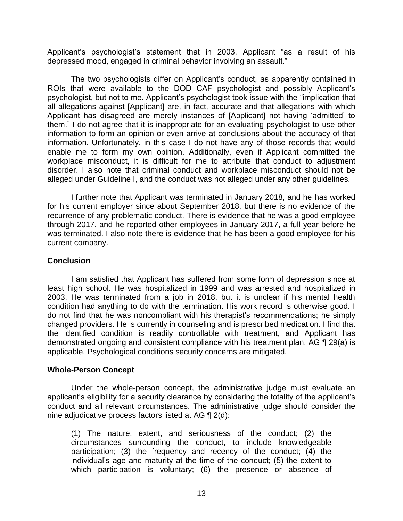Applicant's psychologist's statement that in 2003, Applicant "as a result of his depressed mood, engaged in criminal behavior involving an assault."

 The two psychologists differ on Applicant's conduct, as apparently contained in ROIs that were available to the DOD CAF psychologist and possibly Applicant's psychologist, but not to me. Applicant's psychologist took issue with the "implication that all allegations against [Applicant] are, in fact, accurate and that allegations with which Applicant has disagreed are merely instances of [Applicant] not having 'admitted' to them." I do not agree that it is inappropriate for an evaluating psychologist to use other information to form an opinion or even arrive at conclusions about the accuracy of that information. Unfortunately, in this case I do not have any of those records that would enable me to form my own opinion. Additionally, even if Applicant committed the workplace misconduct, it is difficult for me to attribute that conduct to adjustment disorder. I also note that criminal conduct and workplace misconduct should not be alleged under Guideline I, and the conduct was not alleged under any other guidelines.

 I further note that Applicant was terminated in January 2018, and he has worked for his current employer since about September 2018, but there is no evidence of the recurrence of any problematic conduct. There is evidence that he was a good employee through 2017, and he reported other employees in January 2017, a full year before he was terminated. I also note there is evidence that he has been a good employee for his current company.

## **Conclusion**

 I am satisfied that Applicant has suffered from some form of depression since at least high school. He was hospitalized in 1999 and was arrested and hospitalized in 2003. He was terminated from a job in 2018, but it is unclear if his mental health condition had anything to do with the termination. His work record is otherwise good. I do not find that he was noncompliant with his therapist's recommendations; he simply the identified condition is readily controllable with treatment, and Applicant has demonstrated ongoing and consistent compliance with his treatment plan. AG ¶ 29(a) is changed providers. He is currently in counseling and is prescribed medication. I find that applicable. Psychological conditions security concerns are mitigated.

### **Whole-Person Concept**

Under the whole-person concept, the administrative judge must evaluate an applicant's eligibility for a security clearance by considering the totality of the applicant's conduct and all relevant circumstances. The administrative judge should consider the nine adjudicative process factors listed at AG ¶ 2(d):

(1) The nature, extent, and seriousness of the conduct; (2) the circumstances surrounding the conduct, to include knowledgeable participation; (3) the frequency and recency of the conduct; (4) the individual's age and maturity at the time of the conduct; (5) the extent to which participation is voluntary; (6) the presence or absence of